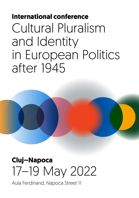# **International conference** Cultural Pluralism and Identity in European Politics after 1945



# **Cluj–Napoca** 17–19 May 2022

Aula Ferdinand, Napoca Street 11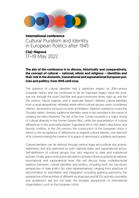

**International conference** Cultural Pluralism and Identity in European Politics after 1945

**Cluj–Napoca** 17–19 May 2022

**The aim of the conference is to discuss, historically and comparatively, the concept of cultural – national, ethnic and religious – identities and their role in the domestic, transnational and supranational European policies and politics, from 1945 until now.**

The question of cultural identities had a significant impact on 20th-century European history and has continued to be an important legacy since the postwar era, through the post-Cold-War and post-communist times, right up until the 21st century. Fascist regimes, and in particular Nazism, defined cultural identities from a racial perspective, whereby entire ethno-cultural groups were considered 'inferior', doomed to exclusion or even annihilation. Stalinism wanted to invent the 'Socialist nation', thereby traditional identities were in fact annulled in the name of creating the New Mankind. The fall of the Iron Curtain resulted in a major revival of cultural diversity in the former Eastern Bloc, while the exacerbation of cultural differences in the post-authoritarian Yugoslavia led to the state's dissolution and bloody conflicts. In the 21st century, the construction of the European Union is linked to the acceptance of differences as regards cultural identity, one element of its cohesion being the creation of a space of democracy, solidarity and peace .

Cultural identities can be defined through various legal and political documents, statements and acts authored by both national states and supranational actors. Self-definitions of cultural groups may also respond to state and institutional policies. Finally, grass-roots actors are able to actively influence policies at national, transnational and supranational level. We will discuss these multidirectional relations between cultural identities and politics, including both the top-down perspective of state policy (by state representatives), ranging from practices of discrimination to assimilation and integration, including granting autonomy; the perspective of the activities of different local groups and NGOs, activists, journalists and academics; last but not least, the broader perspective of international organizations, such as the European Union.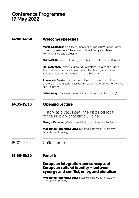## Conference Programme 17 May 2022

### **14:00-14:30 Welcome speeches**

**Marcela Sălăgean** (Faculty of History and Philosophy, Babeș-Bolyai University; member of the Advisory Board, European Network Remembrance and Solidarity)

**Ovidiu Ghitta** [Faculty of History and Philosophy, Babeș-Bolyai University]

**Florin Abraham** (National University of Political Studies and Public Administration, Bucharest; member of the Steering Committee, European Network Remembrance and Solidarity)

**Annemarie Franke** (The Federal Institute for Culture and History of the Germans in Eastern Europe; European Network Remembrance and Solidarity)

**Gábor Danyi** [European Network Remembrance and Solidarity]

#### **14:35-15:30 Opening Lecture**

History as a *casus belli* : the historical roots of the Russia war against Ukraine

**Georgiy Kasianov** (Maria Curie-Sklodowska University, Lublin)

**Moderator: Ioan-Marius Bucur** [Faculty of History and Philosophy, Babeș-Bolyai University)

15:30- 15:50 Coffee break

### **15:50-18:20 Panel 1:**

## **European integration and concepts of European cultural identity – between synergy and conflict, unity, and pluralism**

**Moderator: Ioan-Marius Bucur** (Faculty of History and Philosophy, Babeș-Bolyai University)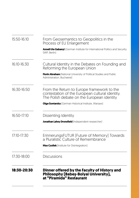| 15:50-16:10 | From Geosemantics to Geopolitics in the<br>Process of EU Enlargement                                                                        |
|-------------|---------------------------------------------------------------------------------------------------------------------------------------------|
|             | <b>Anneli Ute Gabanyi</b> [German Institute for International Politics and Security<br>SWP, Berlin)                                         |
| 16:10-16:30 | Cultural Identity in the Debates on Founding and<br>Reforming the European Union                                                            |
|             | Florin Abraham [National University of Political Studies and Public<br>Administration, Bucharest]                                           |
| 16:30-16:50 | From the Return to Europe framework to the<br>contestation of the European cultural identity.<br>The Polish debate on the European identity |
|             | <b>Olga Gontarska</b> [German Historical Institute, Warsaw]                                                                                 |
| 16:50-17:10 | Dissenting Identity                                                                                                                         |
|             | Jonathan Lahey Dronsfield [Independent researcher]                                                                                          |
| 17:10-17:30 | ErinnerungsFUTUR [Future of Memory] Towards<br>a Pluralistic Culture of Remembrance                                                         |
|             | <b>Max Czollek</b> [Institute for Disintegration]                                                                                           |
| 17:30-18:00 | Discussions                                                                                                                                 |
| 18:30-20:30 | Dinner offered by the Faculty of History and<br>Philosophy (Babeș-Bolyai University),<br>at "Piramida" Resťaurant                           |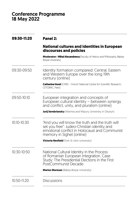# Conference Programme 18 May 2022

| 09:30-11:20     | Panel 2:                                                                                                                                                                     |
|-----------------|------------------------------------------------------------------------------------------------------------------------------------------------------------------------------|
|                 | <b>National cultures and identities in European</b><br>discourses and policies                                                                                               |
|                 | Moderator: Mihai Alexandrescu (Faculty of History and Philosophy, Babes-<br><b>Bolvai Universityl</b>                                                                        |
| 09:30-09:50     | Identity formation compared: Central, Eastern<br>and Western Europe over the long 19th<br>century (online)                                                                   |
|                 | <b>Catherine Horel</b> (CNRS - French National Centre for Scientific Research;<br>CETOBAC, Parisl                                                                            |
| 09:50-10:10     | European integration and concepts of<br>European cultural identity – between synergy<br>and conflict, unity, and pluralism [online]                                          |
|                 | <b>Jurij Serebriansky</b> [Warmia and Mazury University in Olsztyn]                                                                                                          |
| $10:10 - 10:30$ | "And you will know the truth and the truth will<br>set you free": Judeo-Christian identity and<br>emotional conflict in Holocaust and Communist<br>memory in Sighet (online) |
|                 | <b>Victoria Nesfield</b> [York St John University]                                                                                                                           |
| 10:30-10:50     | National Cultural Identity in the Process<br>of Romanian European Integration. Case<br>Study: The Presidential Elections in the First<br>PostCommunist Decade                |
|                 | Marius Muresan [Babeș-Bolyai University]                                                                                                                                     |
| 10:50-11:20     | <b>Discussions</b>                                                                                                                                                           |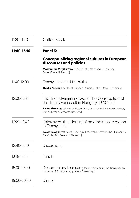| 11:20-11:40 | Coffee Break                                                                                                         |
|-------------|----------------------------------------------------------------------------------------------------------------------|
| 11:40-13:10 | Panel 3:                                                                                                             |
|             | <b>Conceptualizing regional cultures in European</b><br>discourses and policies                                      |
|             | Moderator: Virgiliu Țârău [Faculty of History and Philosophy,<br>Babeș-Bolyai University)                            |
| 11:40-12:00 | Transylvania and its myths                                                                                           |
|             | <b>Ovidiu Pecican</b> [Faculty of European Studies, Babeș-Bolyai University]                                         |
| 12:00-12:20 | The Transylvanian network: The Construction of<br>the Transylvania cult in Hungary, 1920-1970                        |
|             | Balázs Ablonczy [Institute of History, Research Center for the Humanities,<br>Eötvös Loránd Research Networkl        |
| 12:20-12:40 | Kalotaszeg, the identity of an emblematic region<br>in Transylvania                                                  |
|             | <b>Balázs Balogh</b> [Institute of Ethnology, Research Centre for the Humanities,<br>Eötvös Loránd Research Networkl |
| 12:40-13:10 | <b>Discussions</b>                                                                                                   |
| 13:15-14:45 | Lunch                                                                                                                |
| 15:00-19:00 | Documentary tour (visiting the old city centre, the Transylvanian<br>Museum of Ethnography, places of memory)        |
| 19:00-20:30 | Dinner                                                                                                               |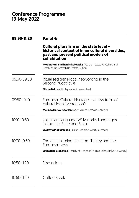# Conference Programme 19 May 2022

| 09:30-11:20 | Panel 4:                                                                                                                                             |
|-------------|------------------------------------------------------------------------------------------------------------------------------------------------------|
|             | Cultural pluralism on the state level -<br>historical context of inner cultural diversities,<br>past and present political models of<br>cohabitation |
|             | Moderator: Burkhard Olschowsky [Federal Institute for Culture and<br>History of the Germans in Eastern Europe)                                       |
| 09:30-09:50 | Ritualised trans-local networking in the<br>Second Yugoslavia                                                                                        |
|             | Nikola Baković (Independent researcher)                                                                                                              |
| 09:50-10:10 | European Cultural Heritage - a new form of<br>cultural identity creation?                                                                            |
|             | Melinda Harlov-Csortán [Apor Vilmos Catholic College]                                                                                                |
| 10:10-10:30 | Ukrainian Language VS Minority Languages<br>in Ukraine: State and Status                                                                             |
|             | <b>Liudmyla Pidkuimukha</b> [Justus Liebig University Giessen]                                                                                       |
| 10:30-10:50 | The cultural minorities from Turkey and the<br>European laws                                                                                         |
|             | <b>Emilia Nicoleta Schiop</b> (Faculty of European Studies, Babeș-Bolyai University)                                                                 |
| 10:50-11:20 | <b>Discussions</b>                                                                                                                                   |
| 10:50-11:20 | Coffee Break                                                                                                                                         |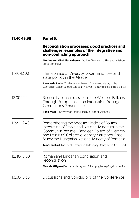| 11:40-13:30   | Panel 5:                                                                                                                                                                                                                                                         |  |
|---------------|------------------------------------------------------------------------------------------------------------------------------------------------------------------------------------------------------------------------------------------------------------------|--|
|               | <b>Reconciliation processes: good practices and</b><br>challenges; examples of the integrative and<br>non-conflicting approach                                                                                                                                   |  |
|               | Moderator: Mihai Alexandrescu [Faculty of History and Philosophy, Babes-<br>Bolyai University)                                                                                                                                                                   |  |
| $11:40-12:00$ | The Promise of Diversity. Local minorities and<br>state politics in the Alsace                                                                                                                                                                                   |  |
|               | <b>Annemarie Franke</b> [The Federal Institute for Culture and History of the<br>Germans in Eastern Europe, European Network Remembrance and Solidarity)                                                                                                         |  |
| 12:00-12:20   | Reconciliation processes in the Western Balkans,<br>Through European Union Integration: Younger<br><b>Generations Perspectives</b>                                                                                                                               |  |
|               | Renis Meta [University of Tirana, Faculty of Social Sciences]                                                                                                                                                                                                    |  |
| 12:20-12:40   | Remembering the Specific Models of Political<br>Integration of Ethnic and National Minorities in the<br>Communist Regime - Between Politics of Memory<br>and Post-1989 Collective Identity Narratives. Case<br>Study: the Hungarian National Minority of Romania |  |
|               | Tamás Lönhárt (Faculty of History and Philosophy, Babeș-Bolyai University)                                                                                                                                                                                       |  |
| 12:40-13:00   | Romanian-Hungarian conciliation and<br>reconciliation                                                                                                                                                                                                            |  |
|               | <b>Marcela Sălăgean</b> (Faculty of History and Philosophy, Babeș-Bolyai University)                                                                                                                                                                             |  |
| 13:00-13:30   | Discussions and Conclusions of the Conference                                                                                                                                                                                                                    |  |